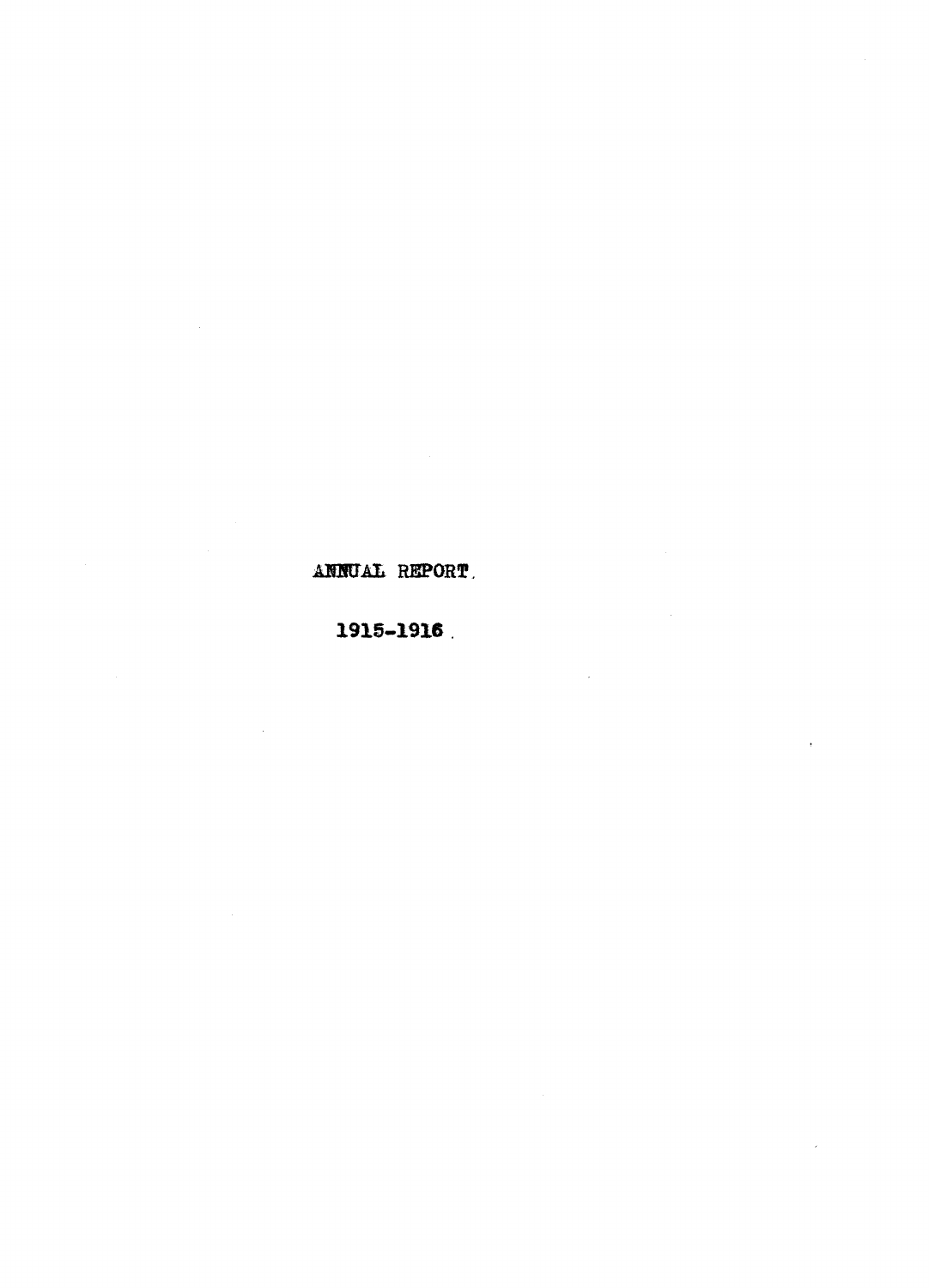# ANNUAL REPORT,

# 1915 -1916.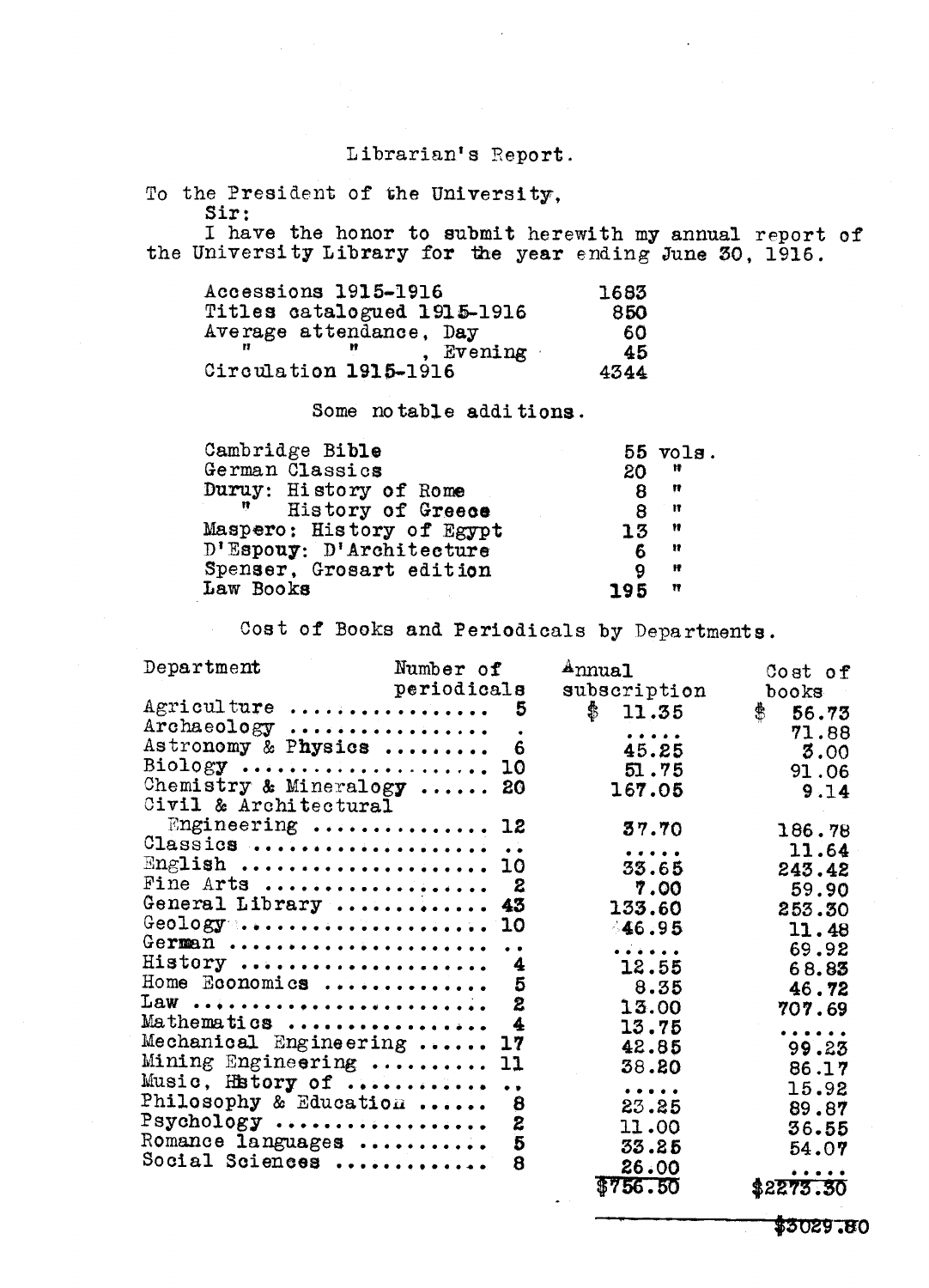## Librarian's Report.

To the President of the University, Sir:

I have the honor to submit herewith my annual report of the University Library for the year ending June 30, 1916.

| Accessions 1915-1916        |         | 1683 |  |
|-----------------------------|---------|------|--|
| Titles catalogued 1915-1916 |         | 850  |  |
| Average attendance, Day     |         | 60   |  |
|                             | Evening | 45   |  |
| Circulation 1915-1916       |         | 4344 |  |

Some notable additions.

| Cambridge Bible                  | $55$ $vols$ . |
|----------------------------------|---------------|
| German Classics<br>20            | Ħ             |
| Duruy: History of Rome           | Ħ             |
| - 17 -<br>History of Greece<br>8 | Ħ             |
| Maspero: History of Egypt<br>15  | Ħ             |
| D'Espouy: D'Architecture<br>6    | Ħ             |
| Spenser, Grosart edition<br>9    | Ħ             |
| Law Books<br>195                 | Ħ             |

Cost of Books and Periodicals by Departments.

| Department                                                      | Number of   |                  | A <sub>nnua1</sub>                                                                                                                        | Cost of                                                                                                         |  |
|-----------------------------------------------------------------|-------------|------------------|-------------------------------------------------------------------------------------------------------------------------------------------|-----------------------------------------------------------------------------------------------------------------|--|
|                                                                 | periodicals |                  | subscription                                                                                                                              | books                                                                                                           |  |
| Agriculture  5                                                  |             |                  | \$11.35                                                                                                                                   | $\mathbf{\hat{F}}$<br>56.73                                                                                     |  |
| Archaeology                                                     |             |                  | $\begin{array}{cccccccccccccc} \bullet & \bullet & \bullet & \bullet & \bullet & \bullet & \bullet & \bullet \end{array}$                 | 71.88                                                                                                           |  |
| Astronomy & Physics  6                                          |             |                  | 45.25                                                                                                                                     | 3.00                                                                                                            |  |
| $\text{Biology}$ 10                                             |             |                  | 51.75                                                                                                                                     | 91.06                                                                                                           |  |
| Chemistry & Mineralogy  20                                      |             |                  | 167.05                                                                                                                                    | 9.14                                                                                                            |  |
| Civil & Architectural                                           |             |                  |                                                                                                                                           |                                                                                                                 |  |
| Engineering  12                                                 |             |                  | 37.70                                                                                                                                     | 186.78                                                                                                          |  |
| Classics                                                        |             |                  | $\bullet\hspace{0.1cm} \bullet\hspace{0.1cm}\bullet\hspace{0.1cm}\bullet\hspace{0.1cm}\bullet\hspace{0.1cm}\bullet\hspace{0.1cm} \bullet$ | 11.64                                                                                                           |  |
| English  10                                                     |             |                  | 33.65                                                                                                                                     | 243.42                                                                                                          |  |
| Fine Arts  2                                                    |             |                  | 7.00                                                                                                                                      | 59.90                                                                                                           |  |
| General Library  43                                             |             |                  | 133.60                                                                                                                                    | 253.30                                                                                                          |  |
| Geology $\dots \dots \dots \dots \dots \dots \dots \dots \dots$ |             |                  | 46.95                                                                                                                                     | 11.48                                                                                                           |  |
| German                                                          |             |                  |                                                                                                                                           |                                                                                                                 |  |
| History  4                                                      |             |                  |                                                                                                                                           | 69.92                                                                                                           |  |
| Home Economics $5$                                              |             |                  | 12.55                                                                                                                                     | 68.83                                                                                                           |  |
| $Law \dots \dots \dots \dots \dots \dots \dots \dots \dots$     |             |                  | 8.35                                                                                                                                      | 46.72                                                                                                           |  |
|                                                                 |             |                  | 13.00                                                                                                                                     | 707.69                                                                                                          |  |
| Mathematics                                                     |             | 4                | 13.75                                                                                                                                     | .                                                                                                               |  |
| Mechanical Engineering  17                                      |             |                  | 42.85                                                                                                                                     | 99.23                                                                                                           |  |
| Mining Engineering  11                                          |             |                  | 38.20                                                                                                                                     | 86.17                                                                                                           |  |
| Music, History of                                               |             |                  | $\bullet\ \bullet\ \bullet\ \bullet\ \bullet\ \bullet$                                                                                    | 15.92                                                                                                           |  |
| Philosophy & Education                                          |             | 8                | 23.25                                                                                                                                     | 89.87                                                                                                           |  |
| $Psychology$                                                    |             | $\boldsymbol{z}$ | 11.00                                                                                                                                     | 36.55                                                                                                           |  |
| Romance languages  5                                            |             |                  | 33.25                                                                                                                                     | 54.07                                                                                                           |  |
| Social Sciences                                                 |             | 8                | 26.00                                                                                                                                     | $\begin{array}{cccccccccccccc} \bullet & \bullet & \bullet & \bullet & \bullet & \bullet & \bullet \end{array}$ |  |
|                                                                 |             |                  | \$756.50                                                                                                                                  | \$2275.30                                                                                                       |  |